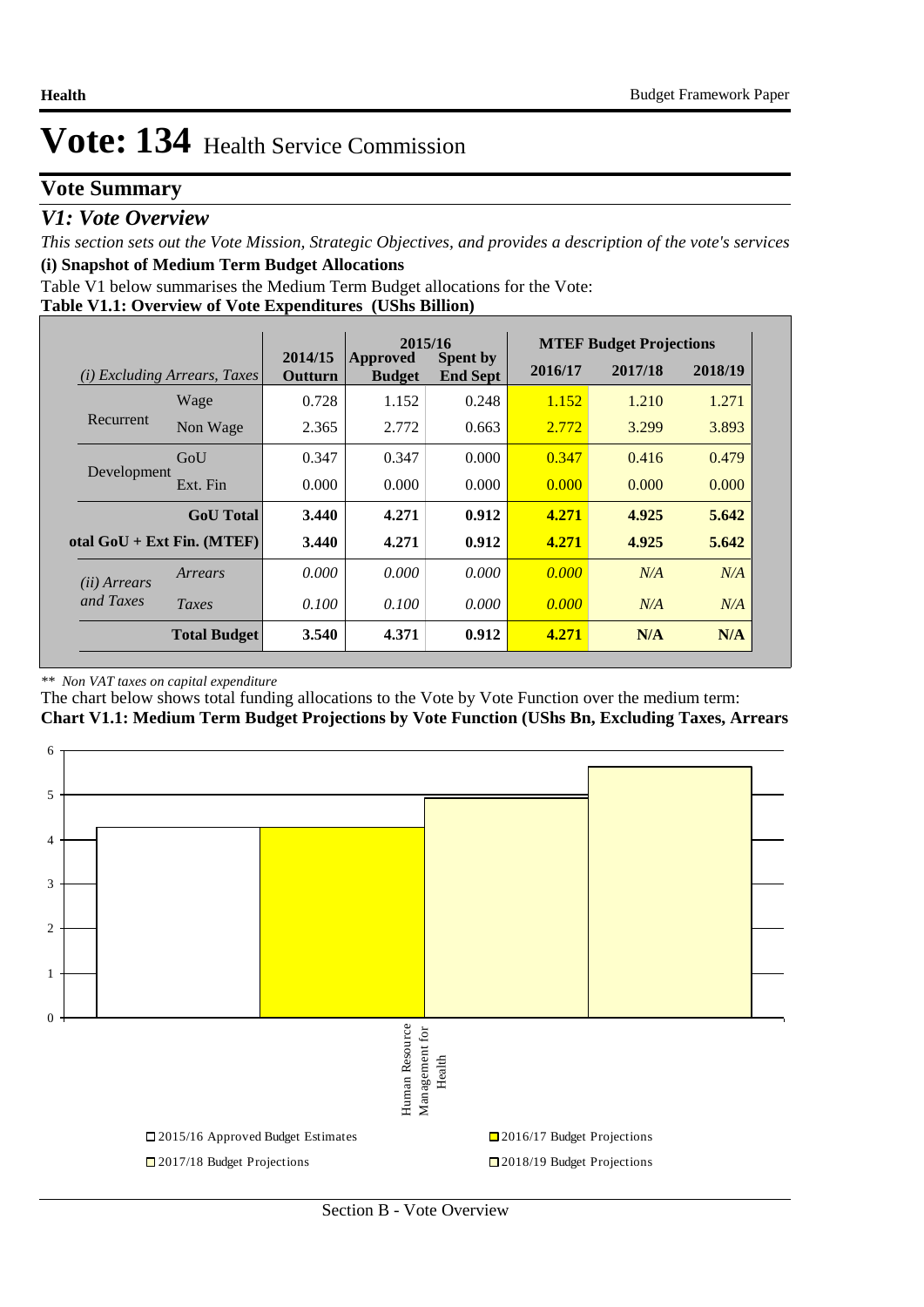## **Vote Summary**

### *V1: Vote Overview*

*This section sets out the Vote Mission, Strategic Objectives, and provides a description of the vote's services* **(i) Snapshot of Medium Term Budget Allocations** 

Table V1 below summarises the Medium Term Budget allocations for the Vote:

| Table V1.1: Overview of Vote Expenditures (UShs Billion) |  |
|----------------------------------------------------------|--|
|----------------------------------------------------------|--|

|                       |                                 | 2015/16            |                           |                                    |         | <b>MTEF Budget Projections</b> |         |
|-----------------------|---------------------------------|--------------------|---------------------------|------------------------------------|---------|--------------------------------|---------|
| (i)                   | <i>Excluding Arrears, Taxes</i> | 2014/15<br>Outturn | Approved<br><b>Budget</b> | <b>Spent by</b><br><b>End Sept</b> | 2016/17 | 2017/18                        | 2018/19 |
|                       | Wage                            | 0.728              | 1.152                     | 0.248                              | 1.152   | 1.210                          | 1.271   |
| Recurrent             | Non Wage                        | 2.365              | 2.772                     | 0.663                              | 2.772   | 3.299                          | 3.893   |
|                       | GoU                             | 0.347              | 0.347                     | 0.000                              | 0.347   | 0.416                          | 0.479   |
| Development           | Ext. Fin                        | 0.000              | 0.000                     | 0.000                              | 0.000   | 0.000                          | 0.000   |
|                       | <b>GoU</b> Total                | 3.440              | 4.271                     | 0.912                              | 4.271   | 4.925                          | 5.642   |
|                       | otal $GoU + Ext Fin. (MTEF)$    | 3.440              | 4.271                     | 0.912                              | 4.271   | 4.925                          | 5.642   |
| ( <i>ii</i> ) Arrears | Arrears                         | 0.000              | 0.000                     | 0.000                              | 0.000   | N/A                            | N/A     |
| and Taxes             | Taxes                           | 0.100              | 0.100                     | 0.000                              | 0.000   | N/A                            | N/A     |
|                       | <b>Total Budget</b>             | 3.540              | 4.371                     | 0.912                              | 4.271   | N/A                            | N/A     |

#### *\*\* Non VAT taxes on capital expenditure*

The chart below shows total funding allocations to the Vote by Vote Function over the medium term: **Chart V1.1: Medium Term Budget Projections by Vote Function (UShs Bn, Excluding Taxes, Arrears**



Section B - Vote Overview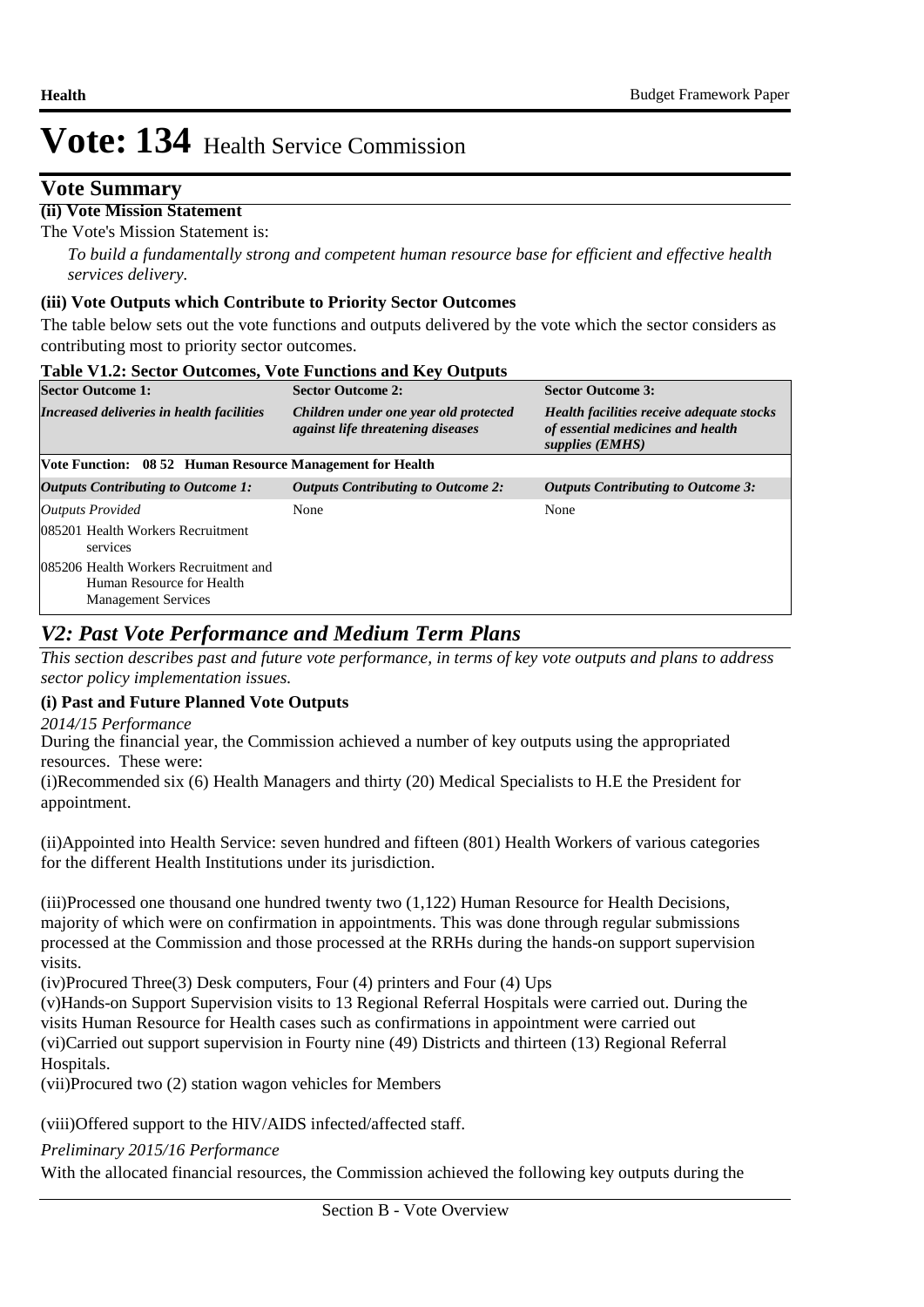## **Vote Summary**

### **(ii) Vote Mission Statement**

The Vote's Mission Statement is:

*To build a fundamentally strong and competent human resource base for efficient and effective health services delivery.*

### **(iii) Vote Outputs which Contribute to Priority Sector Outcomes**

The table below sets out the vote functions and outputs delivered by the vote which the sector considers as contributing most to priority sector outcomes.

| <b>Table V1.2: Sector Outcomes, Vote Functions and Key Outputs</b>                               |                                                                                   |                                                                                                   |  |  |  |  |  |  |  |
|--------------------------------------------------------------------------------------------------|-----------------------------------------------------------------------------------|---------------------------------------------------------------------------------------------------|--|--|--|--|--|--|--|
| <b>Sector Outcome 1:</b>                                                                         | <b>Sector Outcome 2:</b>                                                          | <b>Sector Outcome 3:</b>                                                                          |  |  |  |  |  |  |  |
| Increased deliveries in health facilities                                                        | Children under one year old protected<br><i>against life threatening diseases</i> | Health facilities receive adequate stocks<br>of essential medicines and health<br>supplies (EMHS) |  |  |  |  |  |  |  |
| Vote Function: 08 52 Human Resource Management for Health                                        |                                                                                   |                                                                                                   |  |  |  |  |  |  |  |
| Outputs Contributing to Outcome 1:                                                               | <b>Outputs Contributing to Outcome 2:</b>                                         | Outputs Contributing to Outcome 3:                                                                |  |  |  |  |  |  |  |
| <b>Outputs Provided</b>                                                                          | None                                                                              | None                                                                                              |  |  |  |  |  |  |  |
| 085201 Health Workers Recruitment<br>services                                                    |                                                                                   |                                                                                                   |  |  |  |  |  |  |  |
| 085206 Health Workers Recruitment and<br>Human Resource for Health<br><b>Management Services</b> |                                                                                   |                                                                                                   |  |  |  |  |  |  |  |

## *V2: Past Vote Performance and Medium Term Plans*

*This section describes past and future vote performance, in terms of key vote outputs and plans to address sector policy implementation issues.* 

### **(i) Past and Future Planned Vote Outputs**

*2014/15 Performance*

During the financial year, the Commission achieved a number of key outputs using the appropriated resources. These were:

(i) Recommended six (6) Health Managers and thirty (20) Medical Specialists to H.E the President for appointment.

(ii) Appointed into Health Service: seven hundred and fifteen (801) Health Workers of various categories for the different Health Institutions under its jurisdiction.

 $(iii)$ Processed one thousand one hundred twenty two  $(1,122)$  Human Resource for Health Decisions, majority of which were on confirmation in appointments. This was done through regular submissions processed at the Commission and those processed at the RRHs during the hands-on support supervision visits.

(iv) $Procured Three(3) Desk computers, Four (4) printers and Four (4) Ups$ 

(v) Hands-on Support Supervision visits to 13 Regional Referral Hospitals were carried out. During the visits Human Resource for Health cases such as confirmations in appointment were carried out (vi) Carried out support supervision in Fourty nine (49) Districts and thirteen (13) Regional Referral Hospitals.

(vii) Procured two (2) station wagon vehicles for Members

(viii)Offered support to the HIV/AIDS infected/affected staff.

*Preliminary 2015/16 Performance*

With the allocated financial resources, the Commission achieved the following key outputs during the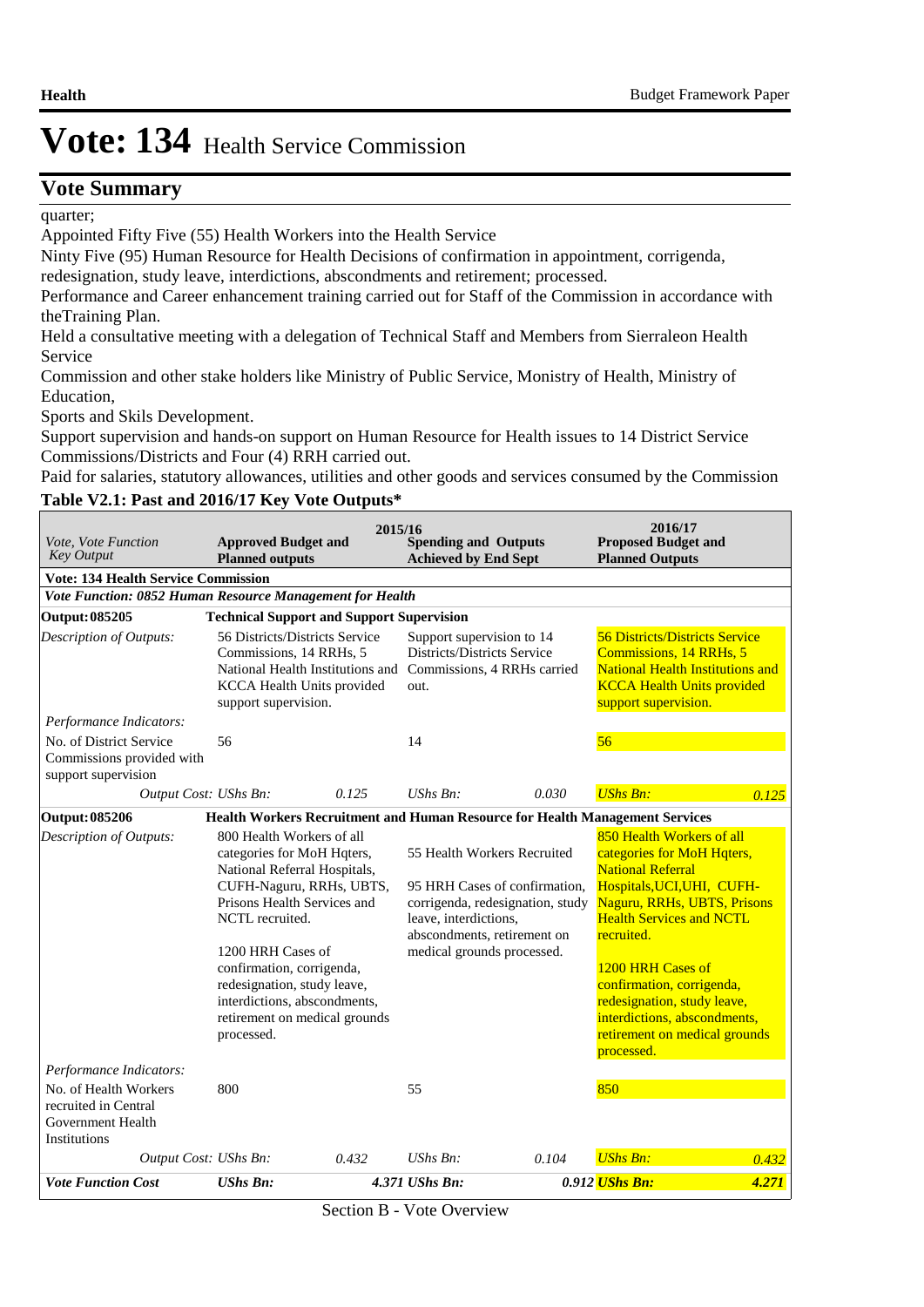### **Vote Summary**

#### quarter;

Appointed Fifty Five (55) Health Workers into the Health Service

Ninty Five (95) Human Resource for Health Decisions of confirmation in appointment, corrigenda, redesignation, study leave, interdictions, abscondments and retirement; processed.

Performance and Career enhancement training carried out for Staff of the Commission in accordance with theTraining Plan.

Held a consultative meeting with a delegation of Technical Staff and Members from Sierraleon Health Service

Commission and other stake holders like Ministry of Public Service, Monistry of Health, Ministry of Education,

Sports and Skils Development.

Support supervision and hands-on support on Human Resource for Health issues to 14 District Service Commissions/Districts and Four (4) RRH carried out.

Paid for salaries, statutory allowances, utilities and other goods and services consumed by the Commission

#### **Table V2.1: Past and 2016/17 Key Vote Outputs\***

| <i>Vote. Vote Function</i><br><b>Key Output</b><br><b>Vote: 134 Health Service Commission</b>                 | <b>Approved Budget and</b><br><b>Planned outputs</b>                                                                                                                                                                                                                                                                                  | 2015/16 | <b>Spending and Outputs</b><br><b>Achieved by End Sept</b>       |                                                                                                                                 | 2016/17<br><b>Proposed Budget and</b><br><b>Planned Outputs</b>                                                                                                                                                                                                                                                                                                   |       |
|---------------------------------------------------------------------------------------------------------------|---------------------------------------------------------------------------------------------------------------------------------------------------------------------------------------------------------------------------------------------------------------------------------------------------------------------------------------|---------|------------------------------------------------------------------|---------------------------------------------------------------------------------------------------------------------------------|-------------------------------------------------------------------------------------------------------------------------------------------------------------------------------------------------------------------------------------------------------------------------------------------------------------------------------------------------------------------|-------|
| Vote Function: 0852 Human Resource Management for Health                                                      |                                                                                                                                                                                                                                                                                                                                       |         |                                                                  |                                                                                                                                 |                                                                                                                                                                                                                                                                                                                                                                   |       |
| Output: 085205                                                                                                | <b>Technical Support and Support Supervision</b>                                                                                                                                                                                                                                                                                      |         |                                                                  |                                                                                                                                 |                                                                                                                                                                                                                                                                                                                                                                   |       |
| Description of Outputs:                                                                                       | 56 Districts/Districts Service<br>Commissions, 14 RRHs, 5<br>National Health Institutions and Commissions, 4 RRHs carried<br>KCCA Health Units provided<br>support supervision.                                                                                                                                                       |         | Support supervision to 14<br>Districts/Districts Service<br>out. |                                                                                                                                 | <b>56 Districts/Districts Service</b><br>Commissions, 14 RRHs, 5<br><b>National Health Institutions and</b><br><b>KCCA Health Units provided</b><br>support supervision.                                                                                                                                                                                          |       |
| Performance Indicators:                                                                                       |                                                                                                                                                                                                                                                                                                                                       |         |                                                                  |                                                                                                                                 |                                                                                                                                                                                                                                                                                                                                                                   |       |
| No. of District Service<br>Commissions provided with<br>support supervision                                   | 56                                                                                                                                                                                                                                                                                                                                    |         | 14                                                               |                                                                                                                                 | 56                                                                                                                                                                                                                                                                                                                                                                |       |
| Output Cost: UShs Bn:                                                                                         |                                                                                                                                                                                                                                                                                                                                       | 0.125   | $UShs Bn$ :                                                      | 0.030                                                                                                                           | <b>UShs Bn:</b>                                                                                                                                                                                                                                                                                                                                                   | 0.125 |
| <b>Output: 085206</b>                                                                                         |                                                                                                                                                                                                                                                                                                                                       |         |                                                                  | Health Workers Recruitment and Human Resource for Health Management Services                                                    |                                                                                                                                                                                                                                                                                                                                                                   |       |
| Description of Outputs:                                                                                       | 800 Health Workers of all<br>categories for MoH Hqters,<br>National Referral Hospitals,<br>CUFH-Naguru, RRHs, UBTS,<br>Prisons Health Services and<br>NCTL recruited.<br>1200 HRH Cases of<br>confirmation, corrigenda,<br>redesignation, study leave,<br>interdictions, abscondments,<br>retirement on medical grounds<br>processed. |         | leave, interdictions,<br>medical grounds processed.              | 55 Health Workers Recruited<br>95 HRH Cases of confirmation,<br>corrigenda, redesignation, study<br>abscondments, retirement on | 850 Health Workers of all<br>categories for MoH Hqters,<br><b>National Referral</b><br>Hospitals, UCI, UHI, CUFH-<br>Naguru, RRHs, UBTS, Prisons<br><b>Health Services and NCTL</b><br>recruited.<br>1200 HRH Cases of<br>confirmation, corrigenda,<br>redesignation, study leave,<br>interdictions, abscondments,<br>retirement on medical grounds<br>processed. |       |
| Performance Indicators:<br>No. of Health Workers<br>recruited in Central<br>Government Health<br>Institutions | 800                                                                                                                                                                                                                                                                                                                                   |         | 55                                                               |                                                                                                                                 | 850                                                                                                                                                                                                                                                                                                                                                               |       |
| Output Cost: UShs Bn:                                                                                         |                                                                                                                                                                                                                                                                                                                                       | 0.432   | UShs Bn:                                                         | 0.104                                                                                                                           | <b>UShs Bn:</b>                                                                                                                                                                                                                                                                                                                                                   | 0.432 |
| <b>Vote Function Cost</b>                                                                                     | <b>UShs Bn:</b>                                                                                                                                                                                                                                                                                                                       |         | 4.371 UShs Bn:                                                   |                                                                                                                                 | 0.912 UShs Bn:                                                                                                                                                                                                                                                                                                                                                    | 4.271 |

Section B - Vote Overview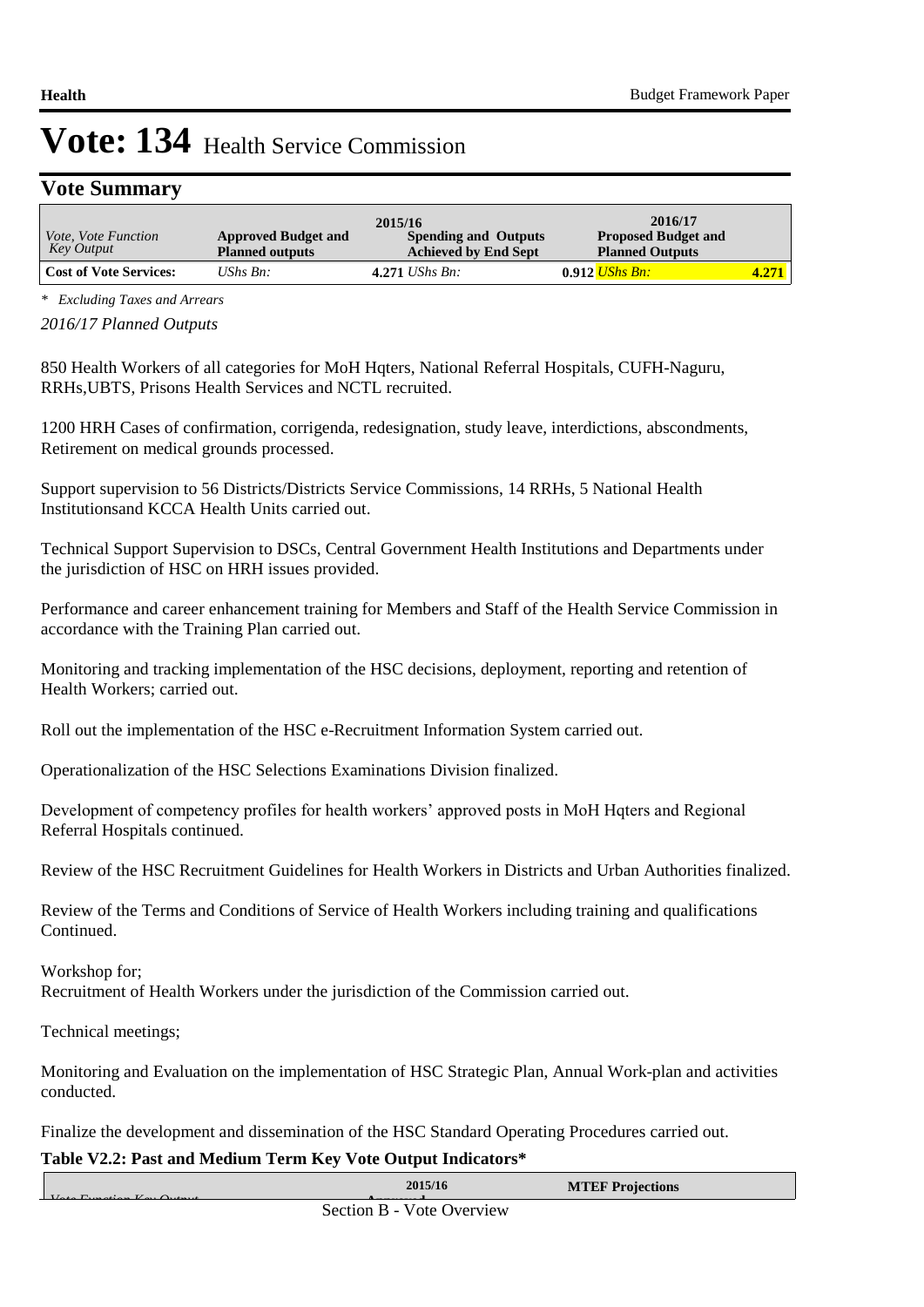## **Vote Summary**

|                                          |                                                      | 2015/16                                                    | 2016/17                                              |         |
|------------------------------------------|------------------------------------------------------|------------------------------------------------------------|------------------------------------------------------|---------|
| <i>Vote, Vote Function</i><br>Key Output | <b>Approved Budget and</b><br><b>Planned outputs</b> | <b>Spending and Outputs</b><br><b>Achieved by End Sept</b> | <b>Proposed Budget and</b><br><b>Planned Outputs</b> |         |
| <b>Cost of Vote Services:</b>            | $\mathit{UShs}\, \mathit{Bn}$ :                      | 4.271 <i>UShs Bn</i> :                                     | $0.912$ UShs Bn:                                     | $4.271$ |

*\* Excluding Taxes and Arrears*

*2016/17 Planned Outputs*

850 Health Workers of all categories for MoH Hqters, National Referral Hospitals, CUFH-Naguru, RRHs,UBTS, Prisons Health Services and NCTL recruited.

1200 HRH Cases of confirmation, corrigenda, redesignation, study leave, interdictions, abscondments, Retirement on medical grounds processed.

Support supervision to 56 Districts/Districts Service Commissions, 14 RRHs, 5 National Health Institutionsand KCCA Health Units carried out.

Technical Support Supervision to DSCs, Central Government Health Institutions and Departments under the jurisdiction of HSC on HRH issues provided.

Performance and career enhancement training for Members and Staff of the Health Service Commission in accordance with the Training Plan carried out.

Monitoring and tracking implementation of the HSC decisions, deployment, reporting and retention of Health Workers; carried out.

Roll out the implementation of the HSC e-Recruitment Information System carried out.

Operationalization of the HSC Selections Examinations Division finalized.

Development of competency profiles for health workers' approved posts in MoH Hqters and Regional Referral Hospitals continued.

Review of the HSC Recruitment Guidelines for Health Workers in Districts and Urban Authorities finalized.

Review of the Terms and Conditions of Service of Health Workers including training and qualifications Continued.

Workshop for; Recruitment of Health Workers under the jurisdiction of the Commission carried out.

Technical meetings;

Monitoring and Evaluation on the implementation of HSC Strategic Plan, Annual Work-plan and activities conducted.

Finalize the development and dissemination of the HSC Standard Operating Procedures carried out.

#### **Table V2.2: Past and Medium Term Key Vote Output Indicators\***

| $U_{\alpha\beta\alpha}$ $E_{\alpha\beta\alpha}$ of $\alpha\alpha$ $V_{\alpha\alpha}$ $\alpha\alpha$ | 2015/16                         | <b>MTEF Projections</b> |  |
|-----------------------------------------------------------------------------------------------------|---------------------------------|-------------------------|--|
|                                                                                                     | $Section R$ - $Note$ $Our view$ |                         |  |

**Outturn Section B - Vote Overview**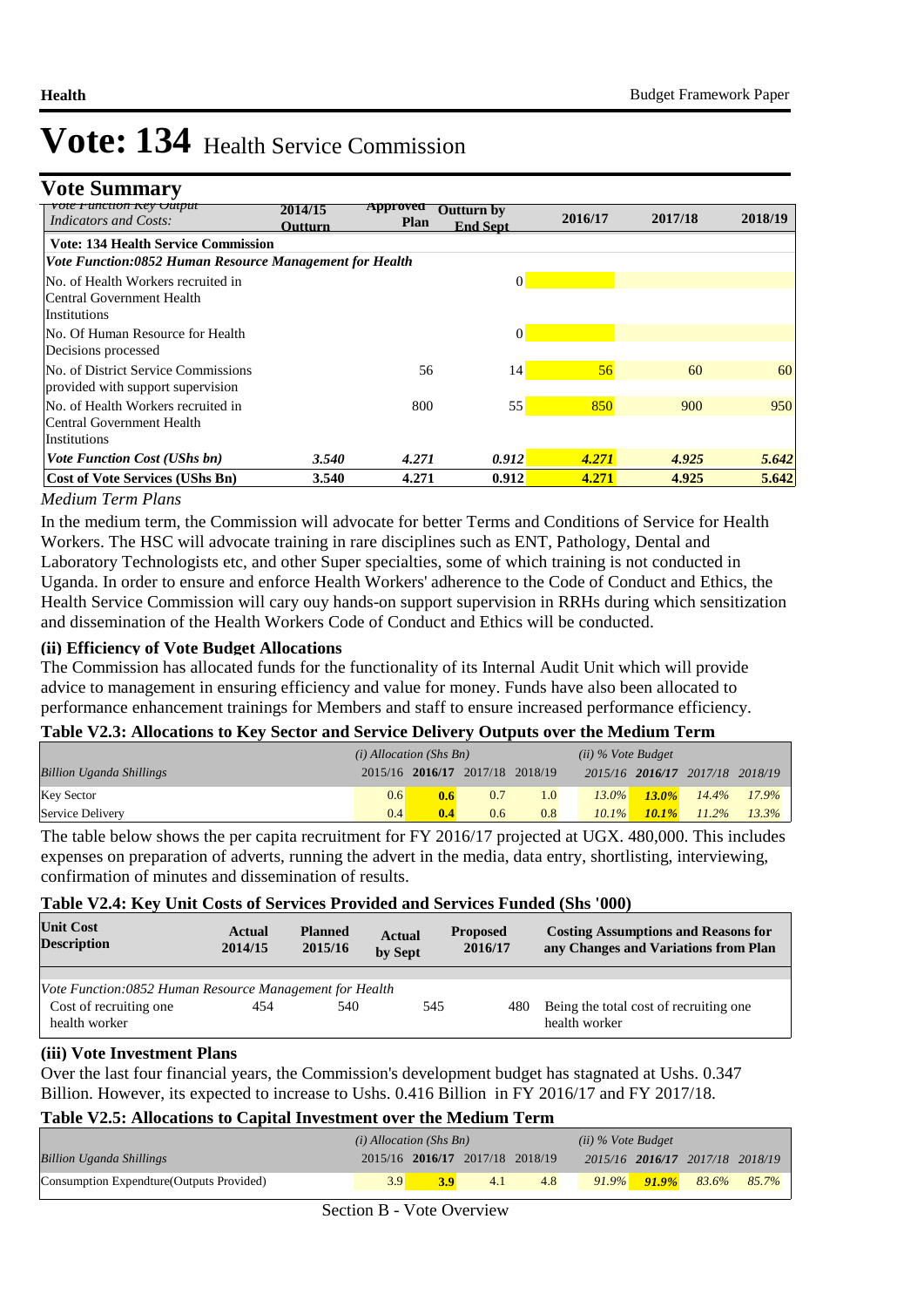**Vote Summary**

| сион кеу Өшрш<br><b>Indicators and Costs:</b>           | 2014/15<br><b>Outturn</b> | Approveu<br><b>Plan</b> | Outturn by<br><b>End Sept.</b> | 2016/17 | 2017/18 | 2018/19 |
|---------------------------------------------------------|---------------------------|-------------------------|--------------------------------|---------|---------|---------|
| <b>Vote: 134 Health Service Commission</b>              |                           |                         |                                |         |         |         |
| Vote Function:0852 Human Resource Management for Health |                           |                         |                                |         |         |         |
| No. of Health Workers recruited in                      |                           |                         | $\Omega$                       |         |         |         |
| Central Government Health                               |                           |                         |                                |         |         |         |
| <i>Institutions</i>                                     |                           |                         |                                |         |         |         |
| INo. Of Human Resource for Health                       |                           |                         | $\vert 0 \vert$                |         |         |         |
| Decisions processed                                     |                           |                         |                                |         |         |         |
| No. of District Service Commissions                     |                           | 56                      | 4                              | 56      | 60      | 60      |
| provided with support supervision                       |                           |                         |                                |         |         |         |
| No. of Health Workers recruited in                      |                           | 800                     | 55                             | 850     | 900     | 950     |
| Central Government Health                               |                           |                         |                                |         |         |         |
| <b>Institutions</b>                                     |                           |                         |                                |         |         |         |
| <b>Vote Function Cost (UShs bn)</b>                     | 3.540                     | 4.271                   | 0.912                          | 4.271   | 4.925   | 5.642   |
| <b>Cost of Vote Services (UShs Bn)</b>                  | 3.540                     | 4.271                   | 0.912                          | 4.271   | 4.925   | 5.642   |

#### *Medium Term Plans*

In the medium term, the Commission will advocate for better Terms and Conditions of Service for Health Workers. The HSC will advocate training in rare disciplines such as ENT, Pathology, Dental and Laboratory Technologists etc, and other Super specialties, some of which training is not conducted in Uganda. In order to ensure and enforce Health Workers' adherence to the Code of Conduct and Ethics, the Health Service Commission will cary ouy hands-on support supervision in RRHs during which sensitization and dissemination of the Health Workers Code of Conduct and Ethics will be conducted.

#### **(ii) Efficiency of Vote Budget Allocations**

The Commission has allocated funds for the functionality of its Internal Audit Unit which will provide advice to management in ensuring efficiency and value for money. Funds have also been allocated to performance enhancement trainings for Members and staff to ensure increased performance efficiency.

#### **Table V2.3: Allocations to Key Sector and Service Delivery Outputs over the Medium Term**

|                                 | $(i)$ Allocation (Shs Bn) |                                 |     |     | $(ii)$ % Vote Budget |          |                                 |          |
|---------------------------------|---------------------------|---------------------------------|-----|-----|----------------------|----------|---------------------------------|----------|
| <b>Billion Uganda Shillings</b> |                           | 2015/16 2016/17 2017/18 2018/19 |     |     |                      |          | 2015/16 2016/17 2017/18 2018/19 |          |
| <b>Key Sector</b>               | 0.6                       | 0.6                             | 0.7 | 1.0 | $13.0\%$             | $13.0\%$ | $14.4\%$                        | $17.9\%$ |
| Service Delivery                | 0.4 <sup>1</sup>          | 0.4                             | 0.6 | 0.8 | $10.1\%$             | $10.1\%$ | $11.2\%$                        | $13.3\%$ |

The table below shows the per capita recruitment for FY 2016/17 projected at UGX. 480,000. This includes expenses on preparation of adverts, running the advert in the media, data entry, shortlisting, interviewing, confirmation of minutes and dissemination of results.

#### **Table V2.4: Key Unit Costs of Services Provided and Services Funded (Shs '000)**

| <b>Unit Cost</b><br><b>Description</b>                  | Actual<br>2014/15 | <b>Planned</b><br>2015/16 | <b>Actual</b><br>by Sept | <b>Proposed</b><br>2016/17 | <b>Costing Assumptions and Reasons for</b><br>any Changes and Variations from Plan |
|---------------------------------------------------------|-------------------|---------------------------|--------------------------|----------------------------|------------------------------------------------------------------------------------|
|                                                         |                   |                           |                          |                            |                                                                                    |
| Vote Function:0852 Human Resource Management for Health |                   |                           |                          |                            |                                                                                    |
| Cost of recruiting one<br>health worker                 | 454               | 540                       | 545                      | 480                        | Being the total cost of recruiting one.<br>health worker                           |

#### **(iii) Vote Investment Plans**

Over the last four financial years, the Commission's development budget has stagnated at Ushs. 0.347 Billion. However, its expected to increase to Ushs. 0.416 Billion in FY 2016/17 and FY 2017/18.

#### **Table V2.5: Allocations to Capital Investment over the Medium Term**

|                                           | $(i)$ Allocation (Shs Bn) |     |                                 |     | $(ii)$ % Vote Budget |                                     |  |
|-------------------------------------------|---------------------------|-----|---------------------------------|-----|----------------------|-------------------------------------|--|
| <b>Billion Uganda Shillings</b>           |                           |     | 2015/16 2016/17 2017/18 2018/19 |     |                      | 2015/16 2016/17 2017/18 2018/19     |  |
| Consumption Expendture (Outputs Provided) | 3.9                       | 3.9 | 4.1                             | 4.8 |                      | $91.9\%$ $91.9\%$ $83.6\%$ $85.7\%$ |  |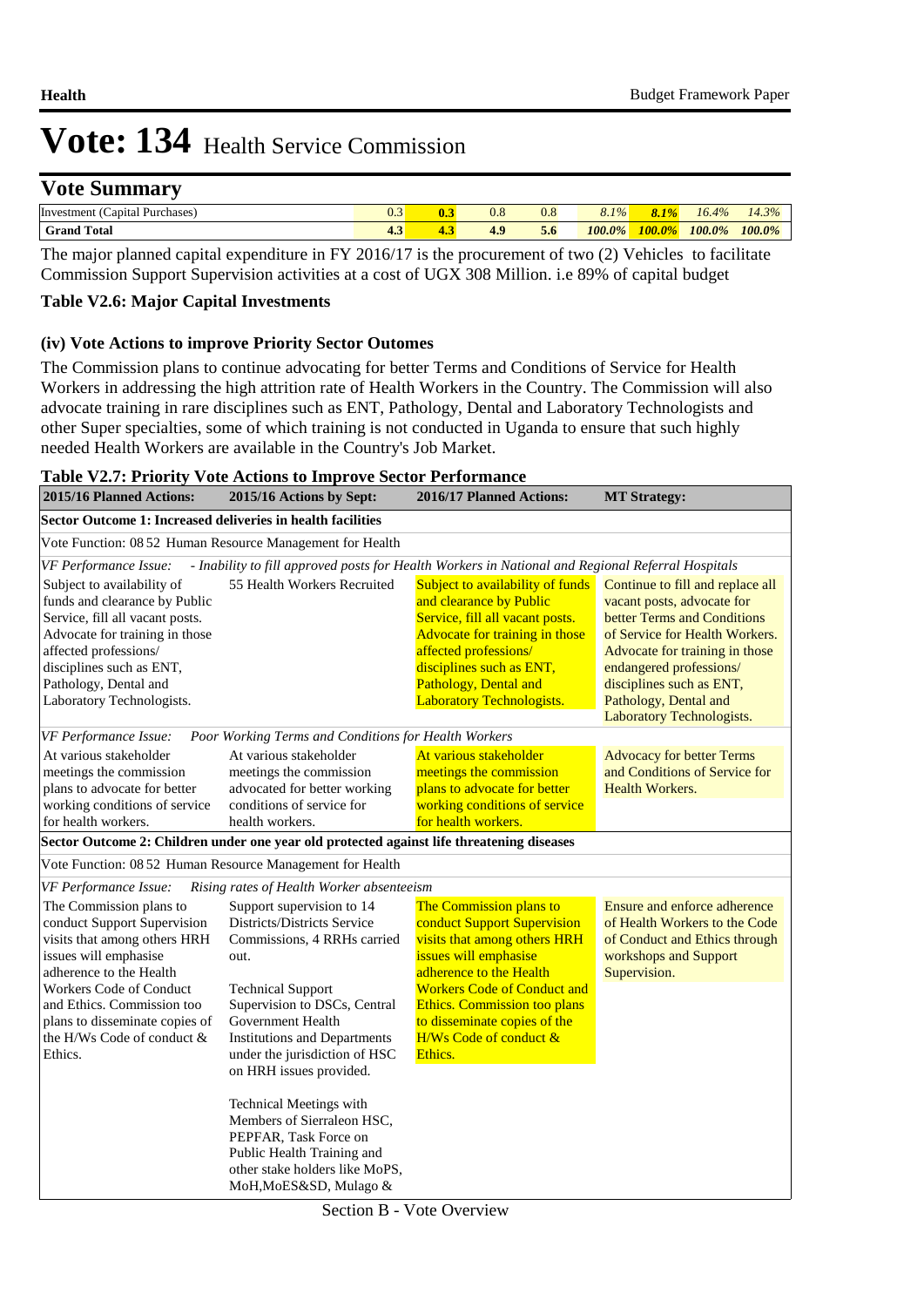### **Vote Summary**

| Purchases<br>anital<br>Invest<br>`en. | U.J  | $U_{\rm{r}}$             | 0.8               | $8.1\%$ | 70.<br><b>STARS</b>          | 16<br>A <sub>0</sub><br>70 | 20/<br>(4.3)<br>$\sqrt{a}$ |
|---------------------------------------|------|--------------------------|-------------------|---------|------------------------------|----------------------------|----------------------------|
| Total<br>Grand                        | ده د | $\Omega$<br><b>The A</b> | $\epsilon$<br>5.0 | 100.0%  | 100<br>$\theta$ <sup>o</sup> | $100.0\%$                  | $100.0\%$                  |
|                                       |      |                          |                   |         |                              |                            |                            |

The major planned capital expenditure in FY 2016/17 is the procurement of two (2) Vehicles to facilitate Commission Support Supervision activities at a cost of UGX 308 Million. i.e 89% of capital budget

#### **Table V2.6: Major Capital Investments**

#### **(iv) Vote Actions to improve Priority Sector Outomes**

The Commission plans to continue advocating for better Terms and Conditions of Service for Health Workers in addressing the high attrition rate of Health Workers in the Country. The Commission will also advocate training in rare disciplines such as ENT, Pathology, Dental and Laboratory Technologists and other Super specialties, some of which training is not conducted in Uganda to ensure that such highly needed Health Workers are available in the Country's Job Market.

#### **Table V2.7: Priority Vote Actions to Improve Sector Performance**

| 2015/16 Planned Actions:                                                                                                                                                                                                                                                              | 2015/16 Actions by Sept:                                                                                                                                                                                                                                                            | 2016/17 Planned Actions:                                                                                                                                                                                                                                                                     | <b>MT Strategy:</b>                                                                                                                                                                                                                                                            |  |  |  |  |  |  |  |
|---------------------------------------------------------------------------------------------------------------------------------------------------------------------------------------------------------------------------------------------------------------------------------------|-------------------------------------------------------------------------------------------------------------------------------------------------------------------------------------------------------------------------------------------------------------------------------------|----------------------------------------------------------------------------------------------------------------------------------------------------------------------------------------------------------------------------------------------------------------------------------------------|--------------------------------------------------------------------------------------------------------------------------------------------------------------------------------------------------------------------------------------------------------------------------------|--|--|--|--|--|--|--|
| Sector Outcome 1: Increased deliveries in health facilities                                                                                                                                                                                                                           |                                                                                                                                                                                                                                                                                     |                                                                                                                                                                                                                                                                                              |                                                                                                                                                                                                                                                                                |  |  |  |  |  |  |  |
| Vote Function: 08 52 Human Resource Management for Health                                                                                                                                                                                                                             |                                                                                                                                                                                                                                                                                     |                                                                                                                                                                                                                                                                                              |                                                                                                                                                                                                                                                                                |  |  |  |  |  |  |  |
| <b>VF Performance Issue:</b>                                                                                                                                                                                                                                                          | - Inability to fill approved posts for Health Workers in National and Regional Referral Hospitals                                                                                                                                                                                   |                                                                                                                                                                                                                                                                                              |                                                                                                                                                                                                                                                                                |  |  |  |  |  |  |  |
| Subject to availability of<br>funds and clearance by Public<br>Service, fill all vacant posts.<br>Advocate for training in those<br>affected professions/<br>disciplines such as ENT,<br>Pathology, Dental and<br>Laboratory Technologists.                                           | 55 Health Workers Recruited                                                                                                                                                                                                                                                         | Subject to availability of funds<br>and clearance by Public<br>Service, fill all vacant posts.<br>Advocate for training in those<br>affected professions/<br>disciplines such as ENT,<br>Pathology, Dental and<br><b>Laboratory Technologists.</b>                                           | Continue to fill and replace all<br>vacant posts, advocate for<br>better Terms and Conditions<br>of Service for Health Workers.<br>Advocate for training in those<br>endangered professions/<br>disciplines such as ENT,<br>Pathology, Dental and<br>Laboratory Technologists. |  |  |  |  |  |  |  |
| VF Performance Issue:                                                                                                                                                                                                                                                                 | Poor Working Terms and Conditions for Health Workers                                                                                                                                                                                                                                |                                                                                                                                                                                                                                                                                              |                                                                                                                                                                                                                                                                                |  |  |  |  |  |  |  |
| At various stakeholder<br>meetings the commission<br>plans to advocate for better<br>working conditions of service<br>for health workers.                                                                                                                                             | At various stakeholder<br>meetings the commission<br>advocated for better working<br>conditions of service for<br>health workers.                                                                                                                                                   | At various stakeholder<br>meetings the commission<br>plans to advocate for better<br>working conditions of service<br>for health workers.                                                                                                                                                    | <b>Advocacy for better Terms</b><br>and Conditions of Service for<br><b>Health Workers.</b>                                                                                                                                                                                    |  |  |  |  |  |  |  |
|                                                                                                                                                                                                                                                                                       | Sector Outcome 2: Children under one year old protected against life threatening diseases                                                                                                                                                                                           |                                                                                                                                                                                                                                                                                              |                                                                                                                                                                                                                                                                                |  |  |  |  |  |  |  |
| Vote Function: 08 52 Human Resource Management for Health                                                                                                                                                                                                                             |                                                                                                                                                                                                                                                                                     |                                                                                                                                                                                                                                                                                              |                                                                                                                                                                                                                                                                                |  |  |  |  |  |  |  |
| VF Performance Issue:                                                                                                                                                                                                                                                                 | Rising rates of Health Worker absenteeism                                                                                                                                                                                                                                           |                                                                                                                                                                                                                                                                                              |                                                                                                                                                                                                                                                                                |  |  |  |  |  |  |  |
| The Commission plans to<br>conduct Support Supervision<br>visits that among others HRH<br>issues will emphasise<br>adherence to the Health<br><b>Workers Code of Conduct</b><br>and Ethics. Commission too<br>plans to disseminate copies of<br>the H/Ws Code of conduct &<br>Ethics. | Support supervision to 14<br>Districts/Districts Service<br>Commissions, 4 RRHs carried<br>out.<br><b>Technical Support</b><br>Supervision to DSCs, Central<br>Government Health<br><b>Institutions and Departments</b><br>under the jurisdiction of HSC<br>on HRH issues provided. | The Commission plans to<br>conduct Support Supervision<br>visits that among others HRH<br>issues will emphasise<br>adherence to the Health<br><b>Workers Code of Conduct and</b><br><b>Ethics. Commission too plans</b><br>to disseminate copies of the<br>H/Ws Code of conduct &<br>Ethics. | Ensure and enforce adherence<br>of Health Workers to the Code<br>of Conduct and Ethics through<br>workshops and Support<br>Supervision.                                                                                                                                        |  |  |  |  |  |  |  |
|                                                                                                                                                                                                                                                                                       | <b>Technical Meetings with</b><br>Members of Sierraleon HSC,<br>PEPFAR, Task Force on<br>Public Health Training and<br>other stake holders like MoPS,<br>MoH, MoES&SD, Mulago &                                                                                                     |                                                                                                                                                                                                                                                                                              |                                                                                                                                                                                                                                                                                |  |  |  |  |  |  |  |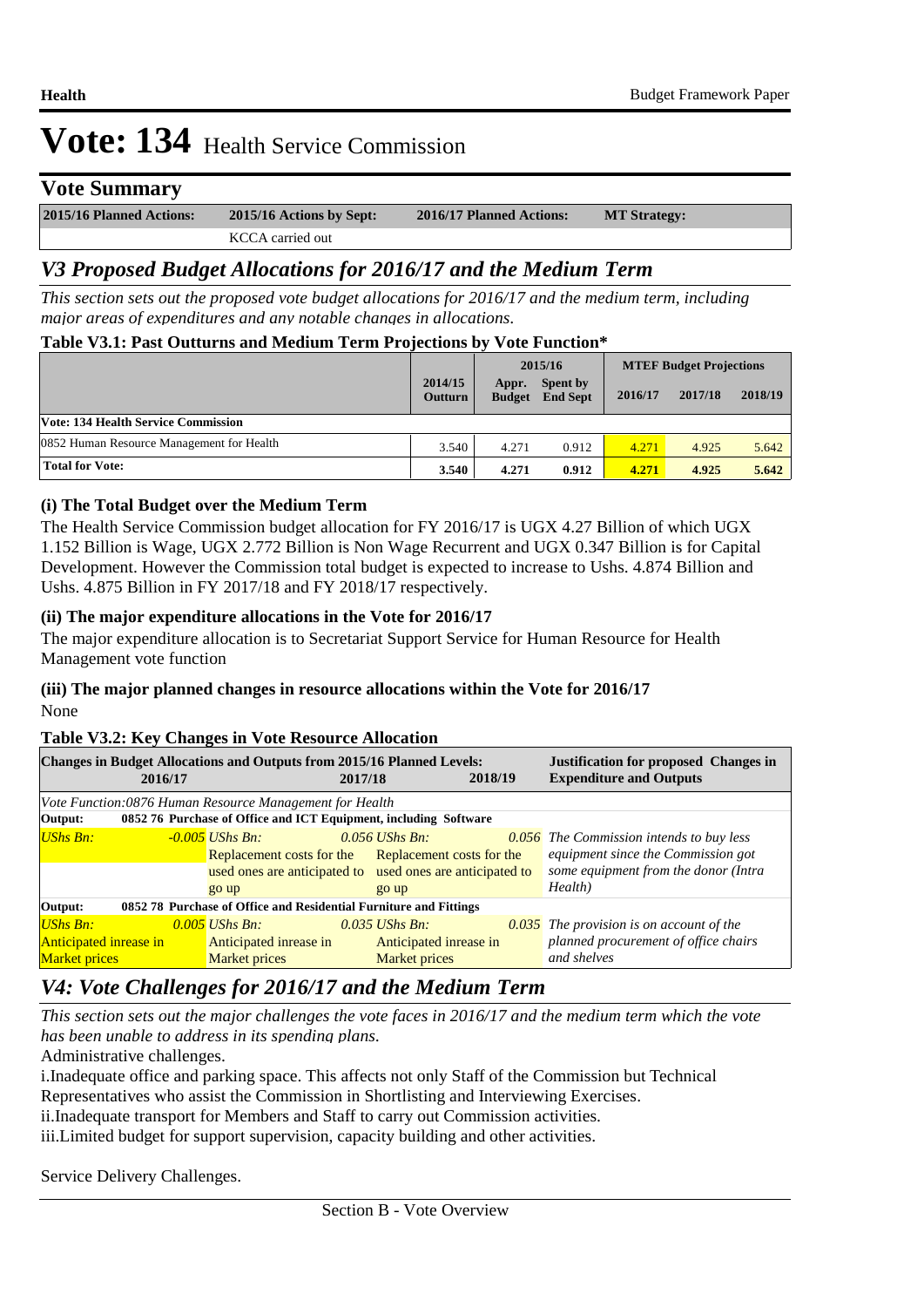### **Vote Summary**

| 2015/16 Planned Actions: | 2015/16 Actions by Sept: | 2016/17 Planned Actions: | <b>MT Strategy:</b> |
|--------------------------|--------------------------|--------------------------|---------------------|
|                          | KCCA carried out         |                          |                     |

## *V3 Proposed Budget Allocations for 2016/17 and the Medium Term*

*This section sets out the proposed vote budget allocations for 2016/17 and the medium term, including major areas of expenditures and any notable changes in allocations.* 

#### **Table V3.1: Past Outturns and Medium Term Projections by Vote Function\***

|                                            | 2014/15<br><b>Outturn</b> | Appr.<br><b>Budget</b> | 2015/16<br>Spent by<br><b>End Sept</b> | 2016/17 | <b>MTEF Budget Projections</b><br>2017/18 | 2018/19 |
|--------------------------------------------|---------------------------|------------------------|----------------------------------------|---------|-------------------------------------------|---------|
| <b>Vote: 134 Health Service Commission</b> |                           |                        |                                        |         |                                           |         |
| 0852 Human Resource Management for Health  | 3.540                     | 4.271                  | 0.912                                  | 4.271   | 4.925                                     | 5.642   |
| <b>Total for Vote:</b>                     | 3.540                     | 4.271                  | 0.912                                  | 4.271   | 4.925                                     | 5.642   |

#### **(i) The Total Budget over the Medium Term**

The Health Service Commission budget allocation for FY 2016/17 is UGX 4.27 Billion of which UGX 1.152 Billion is Wage, UGX 2.772 Billion is Non Wage Recurrent and UGX 0.347 Billion is for Capital Development. However the Commission total budget is expected to increase to Ushs. 4.874 Billion and Ushs. 4.875 Billion in FY 2017/18 and FY 2018/17 respectively.

#### **(ii) The major expenditure allocations in the Vote for 2016/17**

The major expenditure allocation is to Secretariat Support Service for Human Resource for Health Management vote function

#### **(iii) The major planned changes in resource allocations within the Vote for 2016/17** None

#### **Table V3.2: Key Changes in Vote Resource Allocation**

|                                                                              | 2016/17 | <b>Changes in Budget Allocations and Outputs from 2015/16 Planned Levels:</b>                                                                  | 2017/18                                  | 2018/19                | <b>Justification for proposed Changes in</b><br><b>Expenditure and Outputs</b>                                                           |  |
|------------------------------------------------------------------------------|---------|------------------------------------------------------------------------------------------------------------------------------------------------|------------------------------------------|------------------------|------------------------------------------------------------------------------------------------------------------------------------------|--|
| Vote Function:0876 Human Resource Management for Health                      |         |                                                                                                                                                |                                          |                        |                                                                                                                                          |  |
| 0852 76 Purchase of Office and ICT Equipment, including Software<br>Output:  |         |                                                                                                                                                |                                          |                        |                                                                                                                                          |  |
| UShs Bn:                                                                     |         | $-0.005$ UShs Bn:<br>Replacement costs for the Replacement costs for the<br>used ones are anticipated to used ones are anticipated to<br>go up | $0.056$ UShs Bn:<br>go up                |                        | <b>0.056</b> The Commission intends to buy less<br>equipment since the Commission got<br>some equipment from the donor (Intra<br>Health) |  |
| 0852 78 Purchase of Office and Residential Furniture and Fittings<br>Output: |         |                                                                                                                                                |                                          |                        |                                                                                                                                          |  |
| $UShs Bn:$<br><b>Anticipated inrease in</b><br><b>Market prices</b>          |         | $0.005$ UShs Bn:<br>Anticipated inrease in<br>Market prices                                                                                    | $0.035$ UShs Bn.<br><b>Market prices</b> | Anticipated inrease in | $\overline{0.035}$ The provision is on account of the<br>planned procurement of office chairs<br>and shelves                             |  |

## *V4: Vote Challenges for 2016/17 and the Medium Term*

*This section sets out the major challenges the vote faces in 2016/17 and the medium term which the vote has been unable to address in its spending plans.*

Administrative challenges.

i. Inadequate office and parking space. This affects not only Staff of the Commission but Technical Representatives who assist the Commission in Shortlisting and Interviewing Exercises.

ii.Inadequate transport for Members and Staff to carry out Commission activities.

iii. Limited budget for support supervision, capacity building and other activities.

 Service Delivery Challenges.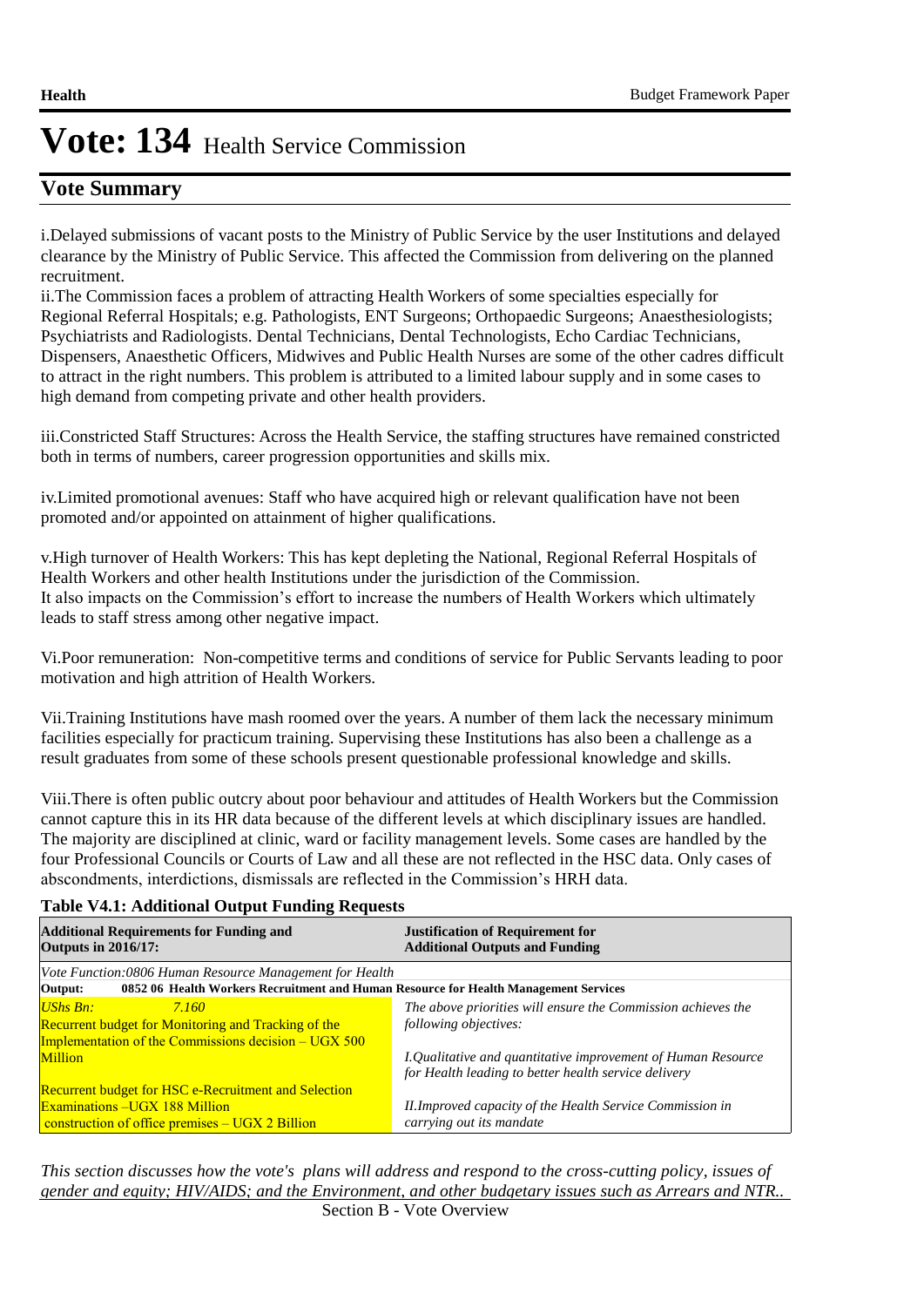## **Vote Summary**

i. Delayed submissions of vacant posts to the Ministry of Public Service by the user Institutions and delayed clearance by the Ministry of Public Service. This affected the Commission from delivering on the planned recruitment.

ii. The Commission faces a problem of attracting Health Workers of some specialties especially for Regional Referral Hospitals; e.g. Pathologists, ENT Surgeons; Orthopaedic Surgeons; Anaesthesiologists; Psychiatrists and Radiologists. Dental Technicians, Dental Technologists, Echo Cardiac Technicians, Dispensers, Anaesthetic Officers, Midwives and Public Health Nurses are some of the other cadres difficult to attract in the right numbers. This problem is attributed to a limited labour supply and in some cases to high demand from competing private and other health providers.

iii. Constricted Staff Structures: Across the Health Service, the staffing structures have remained constricted both in terms of numbers, career progression opportunities and skills mix.

iv. Limited promotional avenues: Staff who have acquired high or relevant qualification have not been promoted and/or appointed on attainment of higher qualifications.

v. High turnover of Health Workers: This has kept depleting the National, Regional Referral Hospitals of Health Workers and other health Institutions under the jurisdiction of the Commission. It also impacts on the Commission's effort to increase the numbers of Health Workers which ultimately leads to staff stress among other negative impact. 

Vi. Poor remuneration: Non-competitive terms and conditions of service for Public Servants leading to poor motivation and high attrition of Health Workers.

Vii. Training Institutions have mash roomed over the years. A number of them lack the necessary minimum facilities especially for practicum training. Supervising these Institutions has also been a challenge as a result graduates from some of these schools present questionable professional knowledge and skills.

Viii. There is often public outcry about poor behaviour and attitudes of Health Workers but the Commission cannot capture this in its HR data because of the different levels at which disciplinary issues are handled. The majority are disciplined at clinic, ward or facility management levels. Some cases are handled by the four Professional Councils or Courts of Law and all these are not reflected in the HSC data. Only cases of abscondments, interdictions, dismissals are reflected in the Commission's HRH data.

#### **Table V4.1: Additional Output Funding Requests**

| <b>Additional Requirements for Funding and</b><br><b>Outputs in 2016/17:</b>                                                                   | <b>Justification of Requirement for</b><br><b>Additional Outputs and Funding</b>                                     |  |  |  |  |
|------------------------------------------------------------------------------------------------------------------------------------------------|----------------------------------------------------------------------------------------------------------------------|--|--|--|--|
| Vote Function:0806 Human Resource Management for Health                                                                                        |                                                                                                                      |  |  |  |  |
| 0852 06 Health Workers Recruitment and Human Resource for Health Management Services<br>Output:                                                |                                                                                                                      |  |  |  |  |
| <b>UShs Bn:</b><br>7.160<br><b>Recurrent budget for Monitoring and Tracking of the</b><br>Implementation of the Commissions decision – UGX 500 | The above priorities will ensure the Commission achieves the<br>following objectives:                                |  |  |  |  |
| <b>Million</b>                                                                                                                                 | I.Qualitative and quantitative improvement of Human Resource<br>for Health leading to better health service delivery |  |  |  |  |
| <b>Recurrent budget for HSC e-Recruitment and Selection</b>                                                                                    |                                                                                                                      |  |  |  |  |
| Examinations - UGX 188 Million                                                                                                                 | II.Improved capacity of the Health Service Commission in                                                             |  |  |  |  |
| construction of office premises $-$ UGX 2 Billion                                                                                              | carrying out its mandate                                                                                             |  |  |  |  |

*This section discusses how the vote's plans will address and respond to the cross-cutting policy, issues of gender and equity; HIV/AIDS; and the Environment, and other budgetary issues such as Arrears and NTR..*